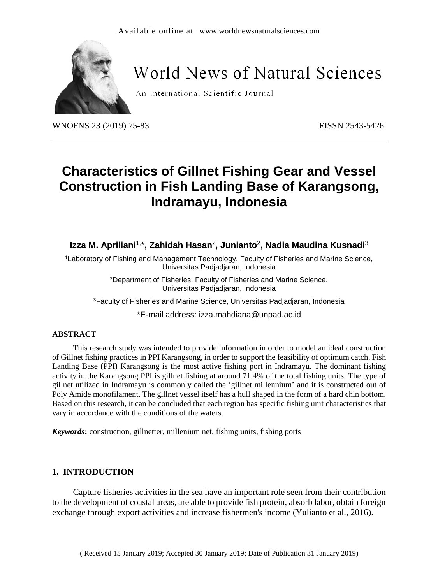

# **World News of Natural Sciences**

An International Scientific Journal

WNOFNS 23 (2019) 75-83 EISSN 2543-5426

# **Characteristics of Gillnet Fishing Gear and Vessel Construction in Fish Landing Base of Karangsong, Indramayu, Indonesia**

**Izza M. Apriliani**1, \***, Zahidah Hasan**<sup>2</sup> **, Junianto**<sup>2</sup> **, Nadia Maudina Kusnadi**<sup>3</sup>

<sup>1</sup>Laboratory of Fishing and Management Technology, Faculty of Fisheries and Marine Science, Universitas Padjadjaran, Indonesia

> <sup>2</sup>Department of Fisheries, Faculty of Fisheries and Marine Science, Universitas Padjadjaran, Indonesia

<sup>3</sup>Faculty of Fisheries and Marine Science, Universitas Padjadjaran, Indonesia

\*E-mail address: izza.mahdiana@unpad.ac.id

#### **ABSTRACT**

This research study was intended to provide information in order to model an ideal construction of Gillnet fishing practices in PPI Karangsong, in order to support the feasibility of optimum catch. Fish Landing Base (PPI) Karangsong is the most active fishing port in Indramayu. The dominant fishing activity in the Karangsong PPI is gillnet fishing at around 71.4% of the total fishing units. The type of gillnet utilized in Indramayu is commonly called the 'gillnet millennium' and it is constructed out of Poly Amide monofilament. The gillnet vessel itself has a hull shaped in the form of a hard chin bottom. Based on this research, it can be concluded that each region has specific fishing unit characteristics that vary in accordance with the conditions of the waters.

*Keywords***:** construction, gillnetter, millenium net, fishing units, fishing ports

# **1. INTRODUCTION**

Capture fisheries activities in the sea have an important role seen from their contribution to the development of coastal areas, are able to provide fish protein, absorb labor, obtain foreign exchange through export activities and increase fishermen's income (Yulianto et al., 2016).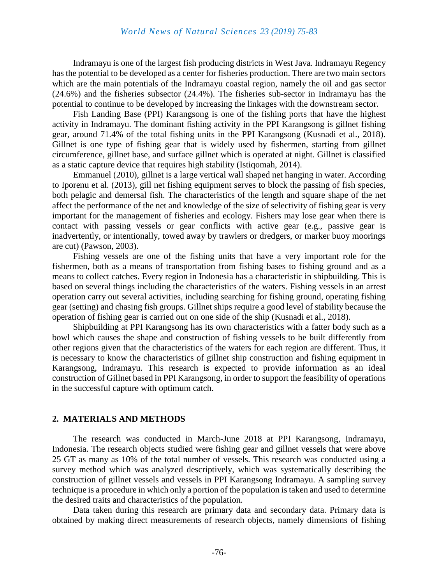Indramayu is one of the largest fish producing districts in West Java. Indramayu Regency has the potential to be developed as a center for fisheries production. There are two main sectors which are the main potentials of the Indramayu coastal region, namely the oil and gas sector (24.6%) and the fisheries subsector (24.4%). The fisheries sub-sector in Indramayu has the potential to continue to be developed by increasing the linkages with the downstream sector.

Fish Landing Base (PPI) Karangsong is one of the fishing ports that have the highest activity in Indramayu. The dominant fishing activity in the PPI Karangsong is gillnet fishing gear, around 71.4% of the total fishing units in the PPI Karangsong (Kusnadi et al., 2018). Gillnet is one type of fishing gear that is widely used by fishermen, starting from gillnet circumference, gillnet base, and surface gillnet which is operated at night. Gillnet is classified as a static capture device that requires high stability (Istiqomah, 2014).

Emmanuel (2010), gillnet is a large vertical wall shaped net hanging in water. According to Iporenu et al. (2013), gill net fishing equipment serves to block the passing of fish species, both pelagic and demersal fish. The characteristics of the length and square shape of the net affect the performance of the net and knowledge of the size of selectivity of fishing gear is very important for the management of fisheries and ecology. Fishers may lose gear when there is contact with passing vessels or gear conflicts with active gear (e.g., passive gear is inadvertently, or intentionally, towed away by trawlers or dredgers, or marker buoy moorings are cut) (Pawson, 2003).

Fishing vessels are one of the fishing units that have a very important role for the fishermen, both as a means of transportation from fishing bases to fishing ground and as a means to collect catches. Every region in Indonesia has a characteristic in shipbuilding. This is based on several things including the characteristics of the waters. Fishing vessels in an arrest operation carry out several activities, including searching for fishing ground, operating fishing gear (setting) and chasing fish groups. Gillnet ships require a good level of stability because the operation of fishing gear is carried out on one side of the ship (Kusnadi et al., 2018).

Shipbuilding at PPI Karangsong has its own characteristics with a fatter body such as a bowl which causes the shape and construction of fishing vessels to be built differently from other regions given that the characteristics of the waters for each region are different. Thus, it is necessary to know the characteristics of gillnet ship construction and fishing equipment in Karangsong, Indramayu. This research is expected to provide information as an ideal construction of Gillnet based in PPI Karangsong, in order to support the feasibility of operations in the successful capture with optimum catch.

#### **2. MATERIALS AND METHODS**

The research was conducted in March-June 2018 at PPI Karangsong, Indramayu, Indonesia. The research objects studied were fishing gear and gillnet vessels that were above 25 GT as many as 10% of the total number of vessels. This research was conducted using a survey method which was analyzed descriptively, which was systematically describing the construction of gillnet vessels and vessels in PPI Karangsong Indramayu. A sampling survey technique is a procedure in which only a portion of the population is taken and used to determine the desired traits and characteristics of the population.

Data taken during this research are primary data and secondary data. Primary data is obtained by making direct measurements of research objects, namely dimensions of fishing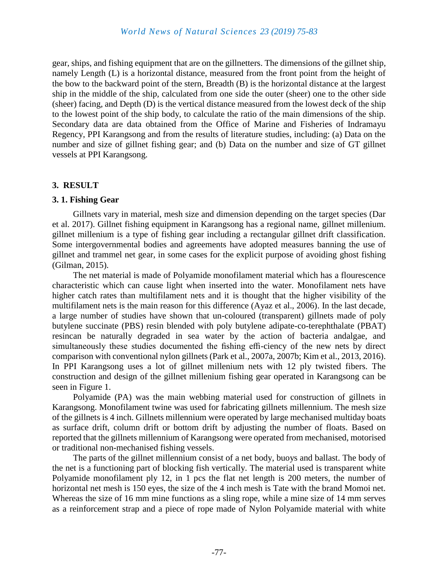gear, ships, and fishing equipment that are on the gillnetters. The dimensions of the gillnet ship, namely Length (L) is a horizontal distance, measured from the front point from the height of the bow to the backward point of the stern, Breadth (B) is the horizontal distance at the largest ship in the middle of the ship, calculated from one side the outer (sheer) one to the other side (sheer) facing, and Depth (D) is the vertical distance measured from the lowest deck of the ship to the lowest point of the ship body, to calculate the ratio of the main dimensions of the ship. Secondary data are data obtained from the Office of Marine and Fisheries of Indramayu Regency, PPI Karangsong and from the results of literature studies, including: (a) Data on the number and size of gillnet fishing gear; and (b) Data on the number and size of GT gillnet vessels at PPI Karangsong.

#### **3. RESULT**

#### **3. 1. Fishing Gear**

Gillnets vary in material, mesh size and dimension depending on the target species (Dar et al. 2017). Gillnet fishing equipment in Karangsong has a regional name, gillnet millenium. gillnet millenium is a type of fishing gear including a rectangular gillnet drift classification. Some intergovernmental bodies and agreements have adopted measures banning the use of gillnet and trammel net gear, in some cases for the explicit purpose of avoiding ghost fishing (Gilman, 2015).

The net material is made of Polyamide monofilament material which has a flourescence characteristic which can cause light when inserted into the water. Monofilament nets have higher catch rates than multifilament nets and it is thought that the higher visibility of the multifilament nets is the main reason for this difference (Ayaz et al., 2006). In the last decade, a large number of studies have shown that un-coloured (transparent) gillnets made of poly butylene succinate (PBS) resin blended with poly butylene adipate-co-terephthalate (PBAT) resincan be naturally degraded in sea water by the action of bacteria andalgae, and simultaneously these studies documented the fishing effi-ciency of the new nets by direct comparison with conventional nylon gillnets (Park et al., 2007a, 2007b; Kim et al., 2013, 2016). In PPI Karangsong uses a lot of gillnet millenium nets with 12 ply twisted fibers. The construction and design of the gillnet millenium fishing gear operated in Karangsong can be seen in Figure 1.

Polyamide (PA) was the main webbing material used for construction of gillnets in Karangsong. Monofilament twine was used for fabricating gillnets millennium. The mesh size of the gillnets is 4 inch. Gillnets millennium were operated by large mechanised multiday boats as surface drift, column drift or bottom drift by adjusting the number of floats. Based on reported that the gillnets millennium of Karangsong were operated from mechanised, motorised or traditional non-mechanised fishing vessels.

The parts of the gillnet millennium consist of a net body, buoys and ballast. The body of the net is a functioning part of blocking fish vertically. The material used is transparent white Polyamide monofilament ply 12, in 1 pcs the flat net length is 200 meters, the number of horizontal net mesh is 150 eyes, the size of the 4 inch mesh is Tate with the brand Momoi net. Whereas the size of 16 mm mine functions as a sling rope, while a mine size of 14 mm serves as a reinforcement strap and a piece of rope made of Nylon Polyamide material with white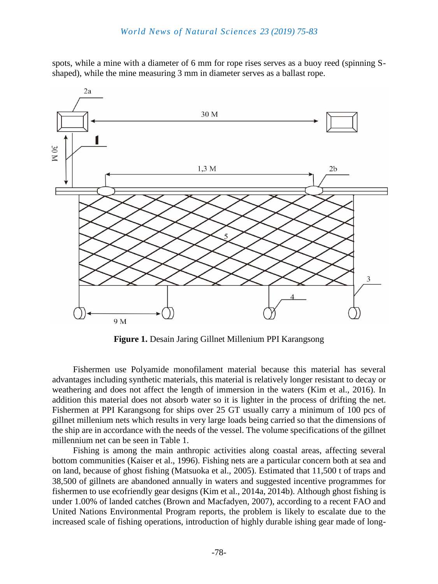spots, while a mine with a diameter of 6 mm for rope rises serves as a buoy reed (spinning Sshaped), while the mine measuring 3 mm in diameter serves as a ballast rope.



**Figure 1.** Desain Jaring Gillnet Millenium PPI Karangsong

Fishermen use Polyamide monofilament material because this material has several advantages including synthetic materials, this material is relatively longer resistant to decay or weathering and does not affect the length of immersion in the waters (Kim et al., 2016). In addition this material does not absorb water so it is lighter in the process of drifting the net. Fishermen at PPI Karangsong for ships over 25 GT usually carry a minimum of 100 pcs of gillnet millenium nets which results in very large loads being carried so that the dimensions of the ship are in accordance with the needs of the vessel. The volume specifications of the gillnet millennium net can be seen in Table 1.

Fishing is among the main anthropic activities along coastal areas, affecting several bottom communities (Kaiser et al., 1996). Fishing nets are a particular concern both at sea and on land, because of ghost fishing (Matsuoka et al., 2005). Estimated that 11,500 t of traps and 38,500 of gillnets are abandoned annually in waters and suggested incentive programmes for fishermen to use ecofriendly gear designs (Kim et al., 2014a, 2014b). Although ghost fishing is under 1.00% of landed catches (Brown and Macfadyen, 2007), according to a recent FAO and United Nations Environmental Program reports, the problem is likely to escalate due to the increased scale of fishing operations, introduction of highly durable ishing gear made of long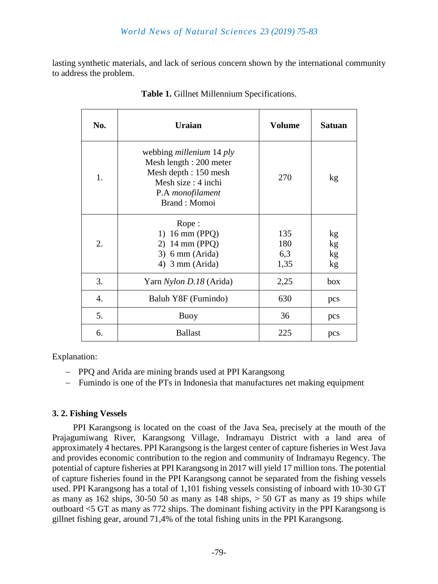lasting synthetic materials, and lack of serious concern shown by the international community to address the problem.

| No. | <b>Uraian</b>                                                                                                                                                | <b>Volume</b>             | <b>Satuan</b>        |
|-----|--------------------------------------------------------------------------------------------------------------------------------------------------------------|---------------------------|----------------------|
| 1.  | webbing <i>millenium</i> 14 <i>ply</i><br>Mesh length : 200 meter<br>Mesh depth : 150 mesh<br>Mesh size : 4 inchi<br>P.A <i>monofilament</i><br>Brand: Momoi | 270                       | kg                   |
| 2.  | Rope:<br>1) $16 \text{ mm}$ (PPQ)<br>2) $14 \text{ mm}$ (PPQ)<br>$3)$ 6 mm (Arida)<br>4) $3 \text{ mm}$ (Arida)                                              | 135<br>180<br>6,3<br>1,35 | kg<br>kg<br>kg<br>kg |
| 3.  | Yarn Nylon D.18 (Arida)                                                                                                                                      | 2,25                      | box                  |
| 4.  | Baluh Y8F (Fumindo)                                                                                                                                          | 630                       | pcs                  |
| 5.  | Buoy                                                                                                                                                         | 36                        | pcs                  |
| 6.  | <b>Ballast</b>                                                                                                                                               | 225                       | pcs                  |

**Table 1.** Gillnet Millennium Specifications.

Explanation:

- PPQ and Arida are mining brands used at PPI Karangsong
- Fumindo is one of the PTs in Indonesia that manufactures net making equipment

# **3. 2. Fishing Vessels**

PPI Karangsong is located on the coast of the Java Sea, precisely at the mouth of the Prajagumiwang River, Karangsong Village, Indramayu District with a land area of approximately 4 hectares. PPI Karangsong is the largest center of capture fisheries in West Java and provides economic contribution to the region and community of Indramayu Regency. The potential of capture fisheries at PPI Karangsong in 2017 will yield 17 million tons. The potential of capture fisheries found in the PPI Karangsong cannot be separated from the fishing vessels used. PPI Karangsong has a total of 1,101 fishing vessels consisting of inboard with 10-30 GT as many as  $162$  ships,  $30-50$  50 as many as  $148$  ships,  $> 50$  GT as many as 19 ships while outboard <5 GT as many as 772 ships. The dominant fishing activity in the PPI Karangsong is gillnet fishing gear, around 71,4% of the total fishing units in the PPI Karangsong.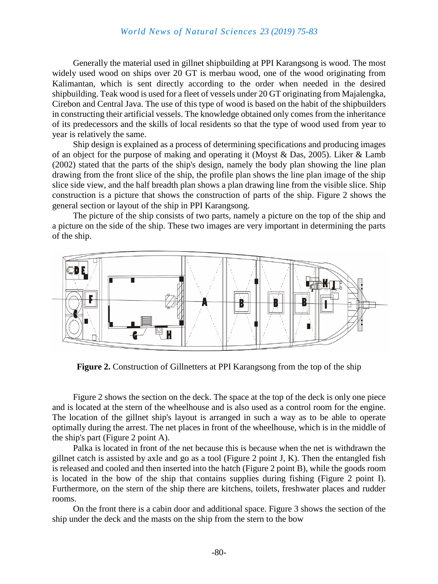Generally the material used in gillnet shipbuilding at PPI Karangsong is wood. The most widely used wood on ships over 20 GT is merbau wood, one of the wood originating from Kalimantan, which is sent directly according to the order when needed in the desired shipbuilding. Teak wood is used for a fleet of vessels under 20 GT originating from Majalengka, Cirebon and Central Java. The use of this type of wood is based on the habit of the shipbuilders in constructing their artificial vessels. The knowledge obtained only comes from the inheritance of its predecessors and the skills of local residents so that the type of wood used from year to year is relatively the same.

Ship design is explained as a process of determining specifications and producing images of an object for the purpose of making and operating it (Moyst & Das, 2005). Liker & Lamb (2002) stated that the parts of the ship's design, namely the body plan showing the line plan drawing from the front slice of the ship, the profile plan shows the line plan image of the ship slice side view, and the half breadth plan shows a plan drawing line from the visible slice. Ship construction is a picture that shows the construction of parts of the ship. Figure 2 shows the general section or layout of the ship in PPI Karangsong.

The picture of the ship consists of two parts, namely a picture on the top of the ship and a picture on the side of the ship. These two images are very important in determining the parts of the ship.



**Figure 2.** Construction of Gillnetters at PPI Karangsong from the top of the ship

Figure 2 shows the section on the deck. The space at the top of the deck is only one piece and is located at the stern of the wheelhouse and is also used as a control room for the engine. The location of the gillnet ship's layout is arranged in such a way as to be able to operate optimally during the arrest. The net places in front of the wheelhouse, which is in the middle of the ship's part (Figure 2 point A).

Palka is located in front of the net because this is because when the net is withdrawn the gillnet catch is assisted by axle and go as a tool (Figure 2 point J, K). Then the entangled fish is released and cooled and then inserted into the hatch (Figure 2 point B), while the goods room is located in the bow of the ship that contains supplies during fishing (Figure 2 point I). Furthermore, on the stern of the ship there are kitchens, toilets, freshwater places and rudder rooms.

On the front there is a cabin door and additional space. Figure 3 shows the section of the ship under the deck and the masts on the ship from the stern to the bow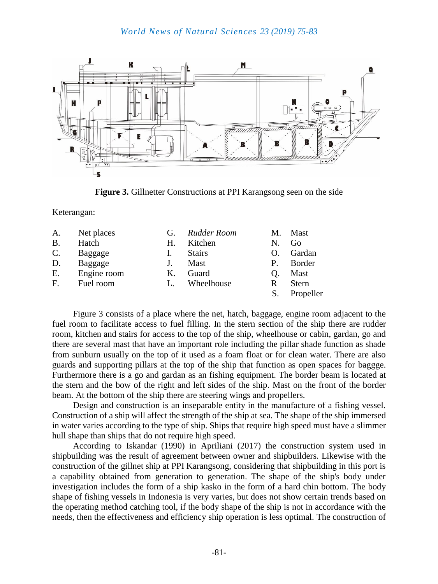

**Figure 3.** Gillnetter Constructions at PPI Karangsong seen on the side

Keterangan:

| A.              | Net places  | G. | Rudder Room   | M.       | Mast         |
|-----------------|-------------|----|---------------|----------|--------------|
| <b>B.</b>       | Hatch       | Н. | Kitchen       | N.       | Go           |
| $\mathcal{C}$ . | Baggage     |    | <b>Stairs</b> | $\Omega$ | Gardan       |
| D.              | Baggage     |    | Mast          | P.       | Border       |
| Ε.              | Engine room | К. | Guard         | O.       | Mast         |
| $F_{\cdot}$     | Fuel room   |    | Wheelhouse    | R        | <b>Stern</b> |
|                 |             |    |               | S.       | Propeller    |

Figure 3 consists of a place where the net, hatch, baggage, engine room adjacent to the fuel room to facilitate access to fuel filling. In the stern section of the ship there are rudder room, kitchen and stairs for access to the top of the ship, wheelhouse or cabin, gardan, go and there are several mast that have an important role including the pillar shade function as shade from sunburn usually on the top of it used as a foam float or for clean water. There are also guards and supporting pillars at the top of the ship that function as open spaces for baggge. Furthermore there is a go and gardan as an fishing equipment. The border beam is located at the stern and the bow of the right and left sides of the ship. Mast on the front of the border beam. At the bottom of the ship there are steering wings and propellers.

Design and construction is an inseparable entity in the manufacture of a fishing vessel. Construction of a ship will affect the strength of the ship at sea. The shape of the ship immersed in water varies according to the type of ship. Ships that require high speed must have a slimmer hull shape than ships that do not require high speed.

According to Iskandar (1990) in Apriliani (2017) the construction system used in shipbuilding was the result of agreement between owner and shipbuilders. Likewise with the construction of the gillnet ship at PPI Karangsong, considering that shipbuilding in this port is a capability obtained from generation to generation. The shape of the ship's body under investigation includes the form of a ship kasko in the form of a hard chin bottom. The body shape of fishing vessels in Indonesia is very varies, but does not show certain trends based on the operating method catching tool, if the body shape of the ship is not in accordance with the needs, then the effectiveness and efficiency ship operation is less optimal. The construction of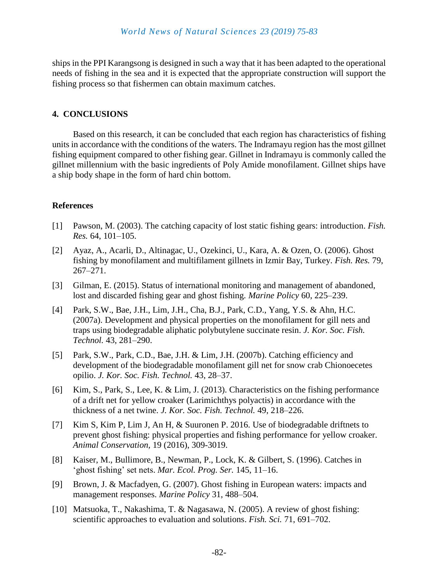ships in the PPI Karangsong is designed in such a way that it has been adapted to the operational needs of fishing in the sea and it is expected that the appropriate construction will support the fishing process so that fishermen can obtain maximum catches.

# **4. CONCLUSIONS**

Based on this research, it can be concluded that each region has characteristics of fishing units in accordance with the conditions of the waters. The Indramayu region has the most gillnet fishing equipment compared to other fishing gear. Gillnet in Indramayu is commonly called the gillnet millennium with the basic ingredients of Poly Amide monofilament. Gillnet ships have a ship body shape in the form of hard chin bottom.

# **References**

- [1] Pawson, M. (2003). The catching capacity of lost static fishing gears: introduction. *Fish. Res.* 64, 101–105.
- [2] Ayaz, A., Acarli, D., Altinagac, U., Ozekinci, U., Kara, A. & Ozen, O. (2006). Ghost fishing by monofilament and multifilament gillnets in Izmir Bay, Turkey. *Fish. Res.* 79, 267–271.
- [3] Gilman, E. (2015). Status of international monitoring and management of abandoned, lost and discarded fishing gear and ghost fishing. *Marine Policy* 60, 225–239.
- [4] Park, S.W., Bae, J.H., Lim, J.H., Cha, B.J., Park, C.D., Yang, Y.S. & Ahn, H.C. (2007a). Development and physical properties on the monofilament for gill nets and traps using biodegradable aliphatic polybutylene succinate resin. *J. Kor. Soc. Fish. Technol.* 43, 281–290.
- [5] Park, S.W., Park, C.D., Bae, J.H. & Lim, J.H. (2007b). Catching efficiency and development of the biodegradable monofilament gill net for snow crab Chionoecetes opilio. *J. Kor. Soc. Fish. Technol.* 43, 28–37.
- [6] Kim, S., Park, S., Lee, K. & Lim, J. (2013). Characteristics on the fishing performance of a drift net for yellow croaker (Larimichthys polyactis) in accordance with the thickness of a net twine. *J. Kor. Soc. Fish. Technol.* 49, 218–226.
- [7] Kim S, Kim P, Lim J, An H, & Suuronen P. 2016. Use of biodegradable driftnets to prevent ghost fishing: physical properties and fishing performance for yellow croaker. *Animal Conservation,* 19 (2016), 309-3019.
- [8] Kaiser, M., Bullimore, B., Newman, P., Lock, K. & Gilbert, S. (1996). Catches in 'ghost fishing' set nets. *Mar. Ecol. Prog. Ser.* 145, 11–16.
- [9] Brown, J. & Macfadyen, G. (2007). Ghost fishing in European waters: impacts and management responses. *Marine Policy* 31, 488–504.
- [10] Matsuoka, T., Nakashima, T. & Nagasawa, N. (2005). A review of ghost fishing: scientific approaches to evaluation and solutions. *Fish. Sci.* 71, 691–702.